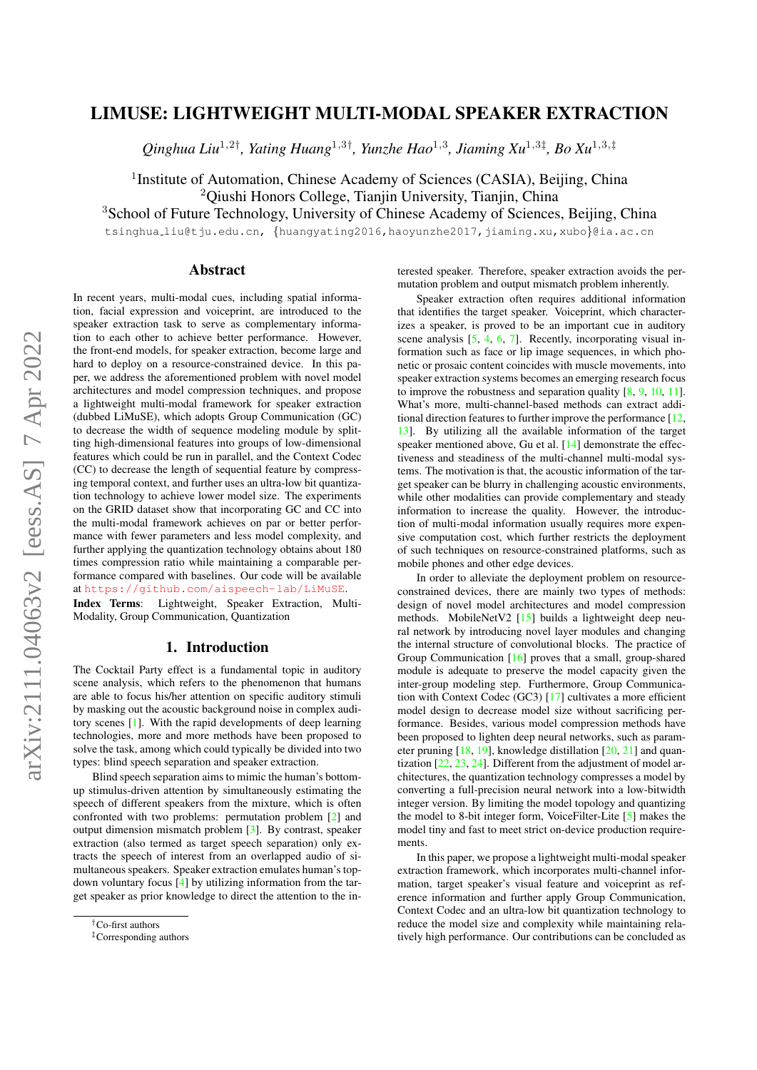# LIMUSE: LIGHTWEIGHT MULTI-MODAL SPEAKER EXTRACTION

*Qinghua Liu*<sup>1</sup>,2† *, Yating Huang*<sup>1</sup>,3† *, Yunzhe Hao*<sup>1</sup>,<sup>3</sup> *, Jiaming Xu*<sup>1</sup>,3‡ *, Bo Xu*<sup>1</sup>,3,‡

<sup>1</sup>Institute of Automation, Chinese Academy of Sciences (CASIA), Beijing, China <sup>2</sup>Qiushi Honors College, Tianjin University, Tianjin, China

<sup>3</sup>School of Future Technology, University of Chinese Academy of Sciences, Beijing, China

tsinghua liu@tju.edu.cn, {huangyating2016,haoyunzhe2017,jiaming.xu,xubo}@ia.ac.cn

## Abstract

In recent years, multi-modal cues, including spatial information, facial expression and voiceprint, are introduced to the speaker extraction task to serve as complementary information to each other to achieve better performance. However, the front-end models, for speaker extraction, become large and hard to deploy on a resource-constrained device. In this paper, we address the aforementioned problem with novel model architectures and model compression techniques, and propose a lightweight multi-modal framework for speaker extraction (dubbed LiMuSE), which adopts Group Communication (GC) to decrease the width of sequence modeling module by splitting high-dimensional features into groups of low-dimensional features which could be run in parallel, and the Context Codec (CC) to decrease the length of sequential feature by compressing temporal context, and further uses an ultra-low bit quantization technology to achieve lower model size. The experiments on the GRID dataset show that incorporating GC and CC into the multi-modal framework achieves on par or better performance with fewer parameters and less model complexity, and further applying the quantization technology obtains about 180 times compression ratio while maintaining a comparable performance compared with baselines. Our code will be available at <https://github.com/aispeech-lab/LiMuSE>.

Index Terms: Lightweight, Speaker Extraction, Multi-Modality, Group Communication, Quantization

# 1. Introduction

The Cocktail Party effect is a fundamental topic in auditory scene analysis, which refers to the phenomenon that humans are able to focus his/her attention on specific auditory stimuli by masking out the acoustic background noise in complex auditory scenes [\[1\]](#page-4-0). With the rapid developments of deep learning technologies, more and more methods have been proposed to solve the task, among which could typically be divided into two types: blind speech separation and speaker extraction.

Blind speech separation aims to mimic the human's bottomup stimulus-driven attention by simultaneously estimating the speech of different speakers from the mixture, which is often confronted with two problems: permutation problem [\[2\]](#page-4-1) and output dimension mismatch problem [\[3\]](#page-4-2). By contrast, speaker extraction (also termed as target speech separation) only extracts the speech of interest from an overlapped audio of simultaneous speakers. Speaker extraction emulates human's topdown voluntary focus [\[4\]](#page-4-3) by utilizing information from the target speaker as prior knowledge to direct the attention to the in-

terested speaker. Therefore, speaker extraction avoids the permutation problem and output mismatch problem inherently.

Speaker extraction often requires additional information that identifies the target speaker. Voiceprint, which characterizes a speaker, is proved to be an important cue in auditory scene analysis [\[5,](#page-4-4) [4,](#page-4-3) [6,](#page-4-5) [7\]](#page-4-6). Recently, incorporating visual information such as face or lip image sequences, in which phonetic or prosaic content coincides with muscle movements, into speaker extraction systems becomes an emerging research focus to improve the robustness and separation quality [\[8,](#page-4-7) [9,](#page-4-8) [10,](#page-4-9) [11\]](#page-4-10). What's more, multi-channel-based methods can extract additional direction features to further improve the performance [\[12,](#page-4-11) [13\]](#page-4-12). By utilizing all the available information of the target speaker mentioned above, Gu et al. [\[14\]](#page-4-13) demonstrate the effectiveness and steadiness of the multi-channel multi-modal systems. The motivation is that, the acoustic information of the target speaker can be blurry in challenging acoustic environments, while other modalities can provide complementary and steady information to increase the quality. However, the introduction of multi-modal information usually requires more expensive computation cost, which further restricts the deployment of such techniques on resource-constrained platforms, such as mobile phones and other edge devices.

In order to alleviate the deployment problem on resourceconstrained devices, there are mainly two types of methods: design of novel model architectures and model compression methods. MobileNetV2 [\[15\]](#page-4-14) builds a lightweight deep neural network by introducing novel layer modules and changing the internal structure of convolutional blocks. The practice of Group Communication [\[16\]](#page-4-15) proves that a small, group-shared module is adequate to preserve the model capacity given the inter-group modeling step. Furthermore, Group Communication with Context Codec (GC3) [\[17\]](#page-4-16) cultivates a more efficient model design to decrease model size without sacrificing performance. Besides, various model compression methods have been proposed to lighten deep neural networks, such as parameter pruning  $[18, 19]$  $[18, 19]$  $[18, 19]$ , knowledge distillation  $[20, 21]$  $[20, 21]$  $[20, 21]$  and quantization [\[22,](#page-4-21) [23,](#page-4-22) [24\]](#page-4-23). Different from the adjustment of model architectures, the quantization technology compresses a model by converting a full-precision neural network into a low-bitwidth integer version. By limiting the model topology and quantizing the model to 8-bit integer form, VoiceFilter-Lite [\[5\]](#page-4-4) makes the model tiny and fast to meet strict on-device production requirements.

In this paper, we propose a lightweight multi-modal speaker extraction framework, which incorporates multi-channel information, target speaker's visual feature and voiceprint as reference information and further apply Group Communication, Context Codec and an ultra-low bit quantization technology to reduce the model size and complexity while maintaining relatively high performance. Our contributions can be concluded as

<sup>†</sup>Co-first authors

<sup>‡</sup>Corresponding authors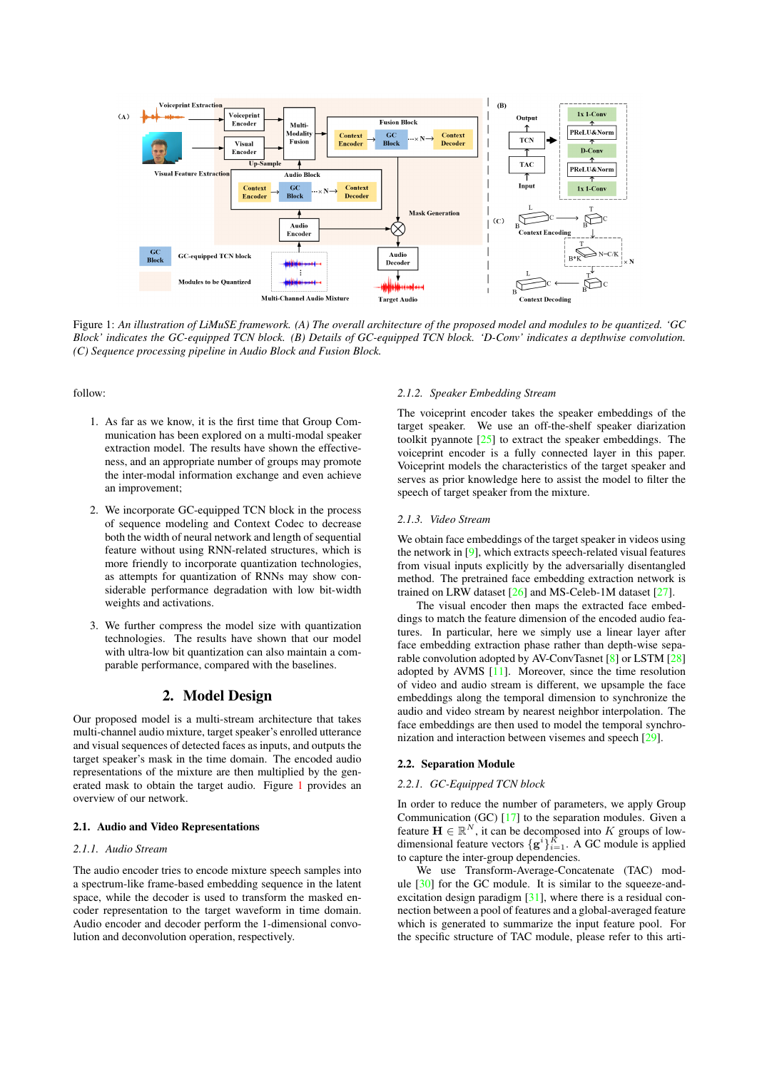<span id="page-1-0"></span>

Figure 1: *An illustration of LiMuSE framework. (A) The overall architecture of the proposed model and modules to be quantized. 'GC Block' indicates the GC-equipped TCN block. (B) Details of GC-equipped TCN block. 'D-Conv' indicates a depthwise convolution. (C) Sequence processing pipeline in Audio Block and Fusion Block.*

follow:

- 1. As far as we know, it is the first time that Group Communication has been explored on a multi-modal speaker extraction model. The results have shown the effectiveness, and an appropriate number of groups may promote the inter-modal information exchange and even achieve an improvement;
- 2. We incorporate GC-equipped TCN block in the process of sequence modeling and Context Codec to decrease both the width of neural network and length of sequential feature without using RNN-related structures, which is more friendly to incorporate quantization technologies, as attempts for quantization of RNNs may show considerable performance degradation with low bit-width weights and activations.
- 3. We further compress the model size with quantization technologies. The results have shown that our model with ultra-low bit quantization can also maintain a comparable performance, compared with the baselines.

# 2. Model Design

Our proposed model is a multi-stream architecture that takes multi-channel audio mixture, target speaker's enrolled utterance and visual sequences of detected faces as inputs, and outputs the target speaker's mask in the time domain. The encoded audio representations of the mixture are then multiplied by the generated mask to obtain the target audio. Figure [1](#page-1-0) provides an overview of our network.

### 2.1. Audio and Video Representations

### *2.1.1. Audio Stream*

The audio encoder tries to encode mixture speech samples into a spectrum-like frame-based embedding sequence in the latent space, while the decoder is used to transform the masked encoder representation to the target waveform in time domain. Audio encoder and decoder perform the 1-dimensional convolution and deconvolution operation, respectively.

#### *2.1.2. Speaker Embedding Stream*

The voiceprint encoder takes the speaker embeddings of the target speaker. We use an off-the-shelf speaker diarization toolkit pyannote [\[25\]](#page-4-24) to extract the speaker embeddings. The voiceprint encoder is a fully connected layer in this paper. Voiceprint models the characteristics of the target speaker and serves as prior knowledge here to assist the model to filter the speech of target speaker from the mixture.

#### *2.1.3. Video Stream*

We obtain face embeddings of the target speaker in videos using the network in [\[9\]](#page-4-8), which extracts speech-related visual features from visual inputs explicitly by the adversarially disentangled method. The pretrained face embedding extraction network is trained on LRW dataset [\[26\]](#page-4-25) and MS-Celeb-1M dataset [\[27\]](#page-4-26).

The visual encoder then maps the extracted face embeddings to match the feature dimension of the encoded audio features. In particular, here we simply use a linear layer after face embedding extraction phase rather than depth-wise separable convolution adopted by AV-ConvTasnet [\[8\]](#page-4-7) or LSTM [\[28\]](#page-4-27) adopted by AVMS [\[11\]](#page-4-10). Moreover, since the time resolution of video and audio stream is different, we upsample the face embeddings along the temporal dimension to synchronize the audio and video stream by nearest neighbor interpolation. The face embeddings are then used to model the temporal synchronization and interaction between visemes and speech [\[29\]](#page-4-28).

### 2.2. Separation Module

### *2.2.1. GC-Equipped TCN block*

In order to reduce the number of parameters, we apply Group Communication (GC) [\[17\]](#page-4-16) to the separation modules. Given a feature  $\mathbf{H} \in \mathbb{R}^{N}$ , it can be decomposed into K groups of lowdimensional feature vectors  $\{g^{i}\}_{i=1}^{K}$ . A GC module is applied to capture the inter-group dependencies.

We use Transform-Average-Concatenate (TAC) module [\[30\]](#page-4-29) for the GC module. It is similar to the squeeze-andexcitation design paradigm [\[31\]](#page-4-30), where there is a residual connection between a pool of features and a global-averaged feature which is generated to summarize the input feature pool. For the specific structure of TAC module, please refer to this arti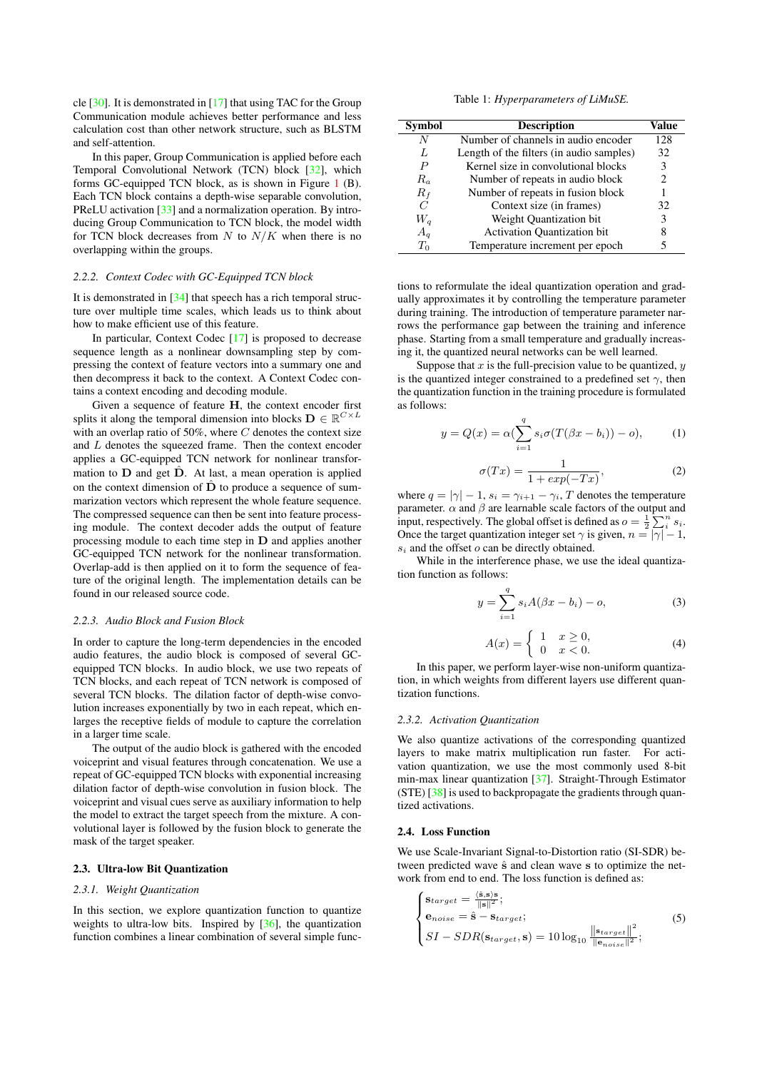cle [\[30\]](#page-4-29). It is demonstrated in [\[17\]](#page-4-16) that using TAC for the Group Communication module achieves better performance and less calculation cost than other network structure, such as BLSTM and self-attention.

In this paper, Group Communication is applied before each Temporal Convolutional Network (TCN) block [\[32\]](#page-4-31), which forms GC-equipped TCN block, as is shown in Figure [1](#page-1-0) (B). Each TCN block contains a depth-wise separable convolution, PReLU activation [\[33\]](#page-4-32) and a normalization operation. By introducing Group Communication to TCN block, the model width for TCN block decreases from  $N$  to  $N/K$  when there is no overlapping within the groups.

#### *2.2.2. Context Codec with GC-Equipped TCN block*

It is demonstrated in [\[34\]](#page-4-33) that speech has a rich temporal structure over multiple time scales, which leads us to think about how to make efficient use of this feature.

In particular, Context Codec [\[17\]](#page-4-16) is proposed to decrease sequence length as a nonlinear downsampling step by compressing the context of feature vectors into a summary one and then decompress it back to the context. A Context Codec contains a context encoding and decoding module.

Given a sequence of feature H, the context encoder first splits it along the temporal dimension into blocks  $\mathbf{D} \in \mathbb{R}^{C \times L}$ with an overlap ratio of 50%, where  $C$  denotes the context size and L denotes the squeezed frame. Then the context encoder applies a GC-equipped TCN network for nonlinear transformation to  **and get**  $**D**$ **. At last, a mean operation is applied** on the context dimension of  $\overline{D}$  to produce a sequence of summarization vectors which represent the whole feature sequence. The compressed sequence can then be sent into feature processing module. The context decoder adds the output of feature processing module to each time step in D and applies another GC-equipped TCN network for the nonlinear transformation. Overlap-add is then applied on it to form the sequence of feature of the original length. The implementation details can be found in our released source code.

### *2.2.3. Audio Block and Fusion Block*

In order to capture the long-term dependencies in the encoded audio features, the audio block is composed of several GCequipped TCN blocks. In audio block, we use two repeats of TCN blocks, and each repeat of TCN network is composed of several TCN blocks. The dilation factor of depth-wise convolution increases exponentially by two in each repeat, which enlarges the receptive fields of module to capture the correlation in a larger time scale.

The output of the audio block is gathered with the encoded voiceprint and visual features through concatenation. We use a repeat of GC-equipped TCN blocks with exponential increasing dilation factor of depth-wise convolution in fusion block. The voiceprint and visual cues serve as auxiliary information to help the model to extract the target speech from the mixture. A convolutional layer is followed by the fusion block to generate the mask of the target speaker.

### 2.3. Ultra-low Bit Quantization

#### *2.3.1. Weight Quantization*

In this section, we explore quantization function to quantize weights to ultra-low bits. Inspired by [\[36\]](#page-4-34), the quantization function combines a linear combination of several simple func-

Table 1: *Hyperparameters of LiMuSE.*

<span id="page-2-0"></span>

| <b>Symbol</b> | <b>Description</b>                       | Value |
|---------------|------------------------------------------|-------|
| N             | Number of channels in audio encoder      | 128   |
| L             | Length of the filters (in audio samples) | 32    |
| P             | Kernel size in convolutional blocks      | 3     |
| $R_a$         | Number of repeats in audio block         | 2.    |
| $R_f$         | Number of repeats in fusion block        |       |
| C             | Context size (in frames)                 | 32    |
| $W_q$         | Weight Quantization bit                  | 3     |
| $A_q$         | <b>Activation Quantization bit</b>       | 8     |
| $T_0$         | Temperature increment per epoch          |       |

tions to reformulate the ideal quantization operation and gradually approximates it by controlling the temperature parameter during training. The introduction of temperature parameter narrows the performance gap between the training and inference phase. Starting from a small temperature and gradually increasing it, the quantized neural networks can be well learned.

Suppose that  $x$  is the full-precision value to be quantized,  $y$ is the quantized integer constrained to a predefined set  $\gamma$ , then the quantization function in the training procedure is formulated as follows:

$$
y = Q(x) = \alpha \left( \sum_{i=1}^{q} s_i \sigma(T(\beta x - b_i)) - o \right), \quad (1)
$$

$$
\sigma(Tx) = \frac{1}{1 + exp(-Tx)},\tag{2}
$$

where  $q = |\gamma| - 1$ ,  $s_i = \gamma_{i+1} - \gamma_i$ , T denotes the temperature parameter.  $\alpha$  and  $\beta$  are learnable scale factors of the output and input, respectively. The global offset is defined as  $o = \frac{1}{2} \sum_{i=1}^{n} s_i$ . Once the target quantization integer set  $\gamma$  is given,  $n = |\gamma| - 1$ ,  $s_i$  and the offset  $o$  can be directly obtained.

While in the interference phase, we use the ideal quantization function as follows:

$$
y = \sum_{i=1}^{q} s_i A(\beta x - b_i) - o,
$$
 (3)

$$
A(x) = \begin{cases} 1 & x \ge 0, \\ 0 & x < 0. \end{cases}
$$
 (4)

In this paper, we perform layer-wise non-uniform quantization, in which weights from different layers use different quantization functions.

#### *2.3.2. Activation Quantization*

We also quantize activations of the corresponding quantized layers to make matrix multiplication run faster. For activation quantization, we use the most commonly used 8-bit min-max linear quantization [\[37\]](#page-4-35). Straight-Through Estimator (STE) [\[38\]](#page-4-36) is used to backpropagate the gradients through quantized activations.

### 2.4. Loss Function

We use Scale-Invariant Signal-to-Distortion ratio (SI-SDR) between predicted wave  $\hat{s}$  and clean wave s to optimize the network from end to end. The loss function is defined as:

$$
\begin{cases}\n\mathbf{s}_{target} = \frac{\langle \hat{\mathbf{s}}, \mathbf{s} \rangle \mathbf{s}}{\|\mathbf{s}\|^2}; \\
\mathbf{e}_{noise} = \hat{\mathbf{s}} - \mathbf{s}_{target}; \\
SI - SDR(\mathbf{s}_{target}, \mathbf{s}) = 10 \log_{10} \frac{\|\mathbf{s}_{target}\|^2}{\|\mathbf{e}_{noise}\|^2};\n\end{cases} (5)
$$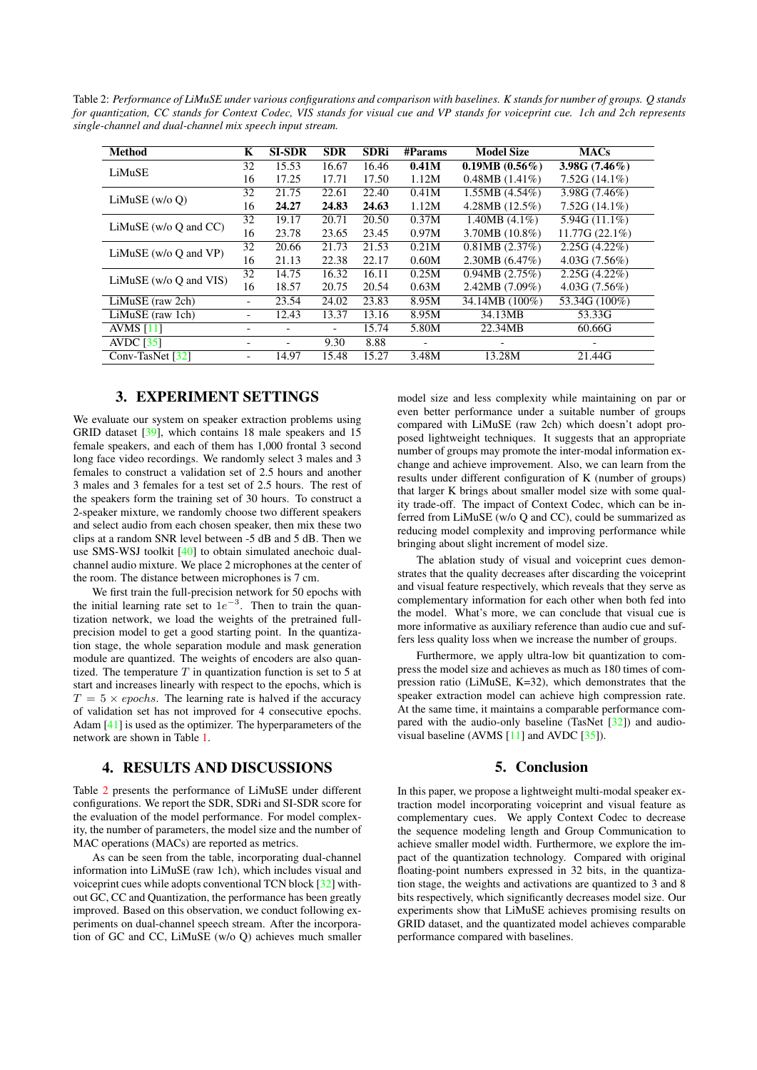<span id="page-3-0"></span>Table 2: *Performance of LiMuSE under various configurations and comparison with baselines. K stands for number of groups. Q stands for quantization, CC stands for Context Codec, VIS stands for visual cue and VP stands for voiceprint cue. 1ch and 2ch represents single-channel and dual-channel mix speech input stream.*

| <b>Method</b>               | K  | <b>SI-SDR</b> | <b>SDR</b> | <b>SDRi</b> | #Params | <b>Model Size</b>  | <b>MACs</b>      |
|-----------------------------|----|---------------|------------|-------------|---------|--------------------|------------------|
| LiMuSE                      | 32 | 15.53         | 16.67      | 16.46       | 0.41M   | $0.19MB(0.56\%)$   | 3.98G $(7.46\%)$ |
|                             | 16 | 17.25         | 17.71      | 17.50       | 1.12M   | $0.48MB(1.41\%)$   | $7.52G(14.1\%)$  |
| LiMuSE $(w/o 0)$            | 32 | 21.75         | 22.61      | 22.40       | 0.41M   | $1.55MB$ (4.54%)   | 3.98G (7.46%)    |
|                             | 16 | 24.27         | 24.83      | 24.63       | 1.12M   | 4.28MB (12.5%)     | $7.52G(14.1\%)$  |
| LiMuSE ( $w/o$ O and $CC$ ) | 32 | 19.17         | 20.71      | 20.50       | 0.37M   | $1.40MB(4.1\%)$    | 5.94G (11.1%)    |
|                             | 16 | 23.78         | 23.65      | 23.45       | 0.97M   | $3.70MB(10.8\%)$   | 11.77G(22.1%)    |
| LiMuSE ( $w/o$ O and $VP$ ) | 32 | 20.66         | 21.73      | 21.53       | 0.21M   | $0.81MB$ $(2.37%)$ | $2.25G(4.22\%)$  |
|                             | 16 | 21.13         | 22.38      | 22.17       | 0.60M   | 2.30MB(6.47%)      | 4.03G(7.56%)     |
| LiMuSE ( $w/o$ O and VIS)   | 32 | 14.75         | 16.32      | 16.11       | 0.25M   | 0.94MB(2.75%)      | $2.25G(4.22\%)$  |
|                             | 16 | 18.57         | 20.75      | 20.54       | 0.63M   | $2.42MB(7.09\%)$   | 4.03G(7.56%)     |
| LiMuSE (raw 2ch)            |    | 23.54         | 24.02      | 23.83       | 8.95M   | 34.14MB (100%)     | 53.34G (100%)    |
| LiMuSE (raw 1ch)            | -  | 12.43         | 13.37      | 13.16       | 8.95M   | 34.13MB            | 53.33G           |
| AVMS $[11]$                 |    |               |            | 15.74       | 5.80M   | 22.34MB            | 60.66G           |
| AVDC $[35]$                 |    |               | 9.30       | 8.88        |         |                    |                  |
| Conv-TasNet [32]            | -  | 14.97         | 15.48      | 15.27       | 3.48M   | 13.28M             | 21.44G           |

# 3. EXPERIMENT SETTINGS

We evaluate our system on speaker extraction problems using GRID dataset [\[39\]](#page-4-38), which contains 18 male speakers and 15 female speakers, and each of them has 1,000 frontal 3 second long face video recordings. We randomly select 3 males and 3 females to construct a validation set of 2.5 hours and another 3 males and 3 females for a test set of 2.5 hours. The rest of the speakers form the training set of 30 hours. To construct a 2-speaker mixture, we randomly choose two different speakers and select audio from each chosen speaker, then mix these two clips at a random SNR level between -5 dB and 5 dB. Then we use SMS-WSJ toolkit [\[40\]](#page-4-39) to obtain simulated anechoic dualchannel audio mixture. We place 2 microphones at the center of the room. The distance between microphones is 7 cm.

We first train the full-precision network for 50 epochs with the initial learning rate set to  $1e^{-3}$ . Then to train the quantization network, we load the weights of the pretrained fullprecision model to get a good starting point. In the quantization stage, the whole separation module and mask generation module are quantized. The weights of encoders are also quantized. The temperature  $T$  in quantization function is set to 5 at start and increases linearly with respect to the epochs, which is  $T = 5 \times epochs$ . The learning rate is halved if the accuracy of validation set has not improved for 4 consecutive epochs. Adam [\[41\]](#page-4-40) is used as the optimizer. The hyperparameters of the network are shown in Table [1.](#page-2-0)

## 4. RESULTS AND DISCUSSIONS

Table [2](#page-3-0) presents the performance of LiMuSE under different configurations. We report the SDR, SDRi and SI-SDR score for the evaluation of the model performance. For model complexity, the number of parameters, the model size and the number of MAC operations (MACs) are reported as metrics.

As can be seen from the table, incorporating dual-channel information into LiMuSE (raw 1ch), which includes visual and voiceprint cues while adopts conventional TCN block [\[32\]](#page-4-31) without GC, CC and Quantization, the performance has been greatly improved. Based on this observation, we conduct following experiments on dual-channel speech stream. After the incorporation of GC and CC, LiMuSE (w/o Q) achieves much smaller

model size and less complexity while maintaining on par or even better performance under a suitable number of groups compared with LiMuSE (raw 2ch) which doesn't adopt proposed lightweight techniques. It suggests that an appropriate number of groups may promote the inter-modal information exchange and achieve improvement. Also, we can learn from the results under different configuration of K (number of groups) that larger K brings about smaller model size with some quality trade-off. The impact of Context Codec, which can be inferred from LiMuSE (w/o Q and CC), could be summarized as reducing model complexity and improving performance while bringing about slight increment of model size.

The ablation study of visual and voiceprint cues demonstrates that the quality decreases after discarding the voiceprint and visual feature respectively, which reveals that they serve as complementary information for each other when both fed into the model. What's more, we can conclude that visual cue is more informative as auxiliary reference than audio cue and suffers less quality loss when we increase the number of groups.

Furthermore, we apply ultra-low bit quantization to compress the model size and achieves as much as 180 times of compression ratio (LiMuSE, K=32), which demonstrates that the speaker extraction model can achieve high compression rate. At the same time, it maintains a comparable performance compared with the audio-only baseline (TasNet [\[32\]](#page-4-31)) and audiovisual baseline (AVMS  $[11]$  and AVDC  $[35]$ ).

## 5. Conclusion

In this paper, we propose a lightweight multi-modal speaker extraction model incorporating voiceprint and visual feature as complementary cues. We apply Context Codec to decrease the sequence modeling length and Group Communication to achieve smaller model width. Furthermore, we explore the impact of the quantization technology. Compared with original floating-point numbers expressed in 32 bits, in the quantization stage, the weights and activations are quantized to 3 and 8 bits respectively, which significantly decreases model size. Our experiments show that LiMuSE achieves promising results on GRID dataset, and the quantizated model achieves comparable performance compared with baselines.